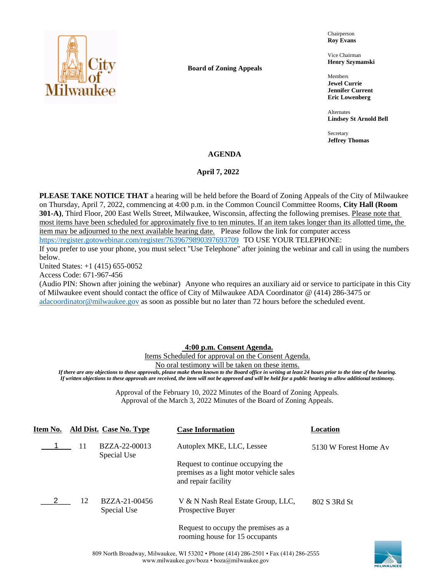

**Board of Zoning Appeals**

Chairperson **Roy Evans**

Vice Chairman **Henry Szymanski**

Members **Jewel Currie Jennifer Current Eric Lowenberg**

Alternates **Lindsey St Arnold Bell**

Secretary **Jeffrey Thomas**

# **AGENDA**

# April 7, 2022

**PLEASE TAKE NOTICE THAT** a hearing will be held before the Board of Zoning Appeals of the City of Milwaukee on Thursday, April 7, 2022, commencing at 4:00 p.m. in the Common Council Committee Rooms, **City Hall (Room 301-A)**, Third Floor, 200 East Wells Street, Milwaukee, Wisconsin, affecting the following premises. Please note that most items have been scheduled for approximately five to ten minutes. If an item takes longer than its allotted time, the item may be adjourned to the next available hearing date. Please follow the link for computer access <https://register.gotowebinar.com/register/7639679890397693709> TO USE YOUR TELEPHONE:

If you prefer to use your phone, you must select "Use Telephone" after joining the webinar and call in using the numbers below.

United States: +1 (415) 655-0052

Access Code: 671-967-456

(Audio PIN: Shown after joining the webinar) Anyone who requires an auxiliary aid or service to participate in this City of Milwaukee event should contact the office of City of Milwaukee ADA Coordinator @ (414) 286-3475 or [adacoordinator@milwaukee.gov](mailto:adacoordinator@milwaukee.gov) as soon as possible but no later than 72 hours before the scheduled event.

# **4:00 p.m. Consent Agenda.**

Items Scheduled for approval on the Consent Agenda. No oral testimony will be taken on these items.

*If there are any objections to these approvals, please make them known to the Board office in writing at least 24 hours prior to the time of the hearing. If written objections to these approvals are received, the item will not be approved and will be held for a public hearing to allow additional testimony.*

> Approval of the February 10, 2022 Minutes of the Board of Zoning Appeals. Approval of the March 3, 2022 Minutes of the Board of Zoning Appeals.

| Item No. |    | Ald Dist. Case No. Type      | <b>Case Information</b>                                                                             | Location              |
|----------|----|------------------------------|-----------------------------------------------------------------------------------------------------|-----------------------|
|          | 11 | BZZA-22-00013<br>Special Use | Autoplex MKE, LLC, Lessee                                                                           | 5130 W Forest Home Av |
|          |    |                              | Request to continue occupying the<br>premises as a light motor vehicle sales<br>and repair facility |                       |
|          | 12 | BZZA-21-00456<br>Special Use | V & N Nash Real Estate Group, LLC,<br>Prospective Buyer                                             | 802 S 3Rd St          |
|          |    |                              | Request to occupy the premises as a<br>rooming house for 15 occupants                               |                       |

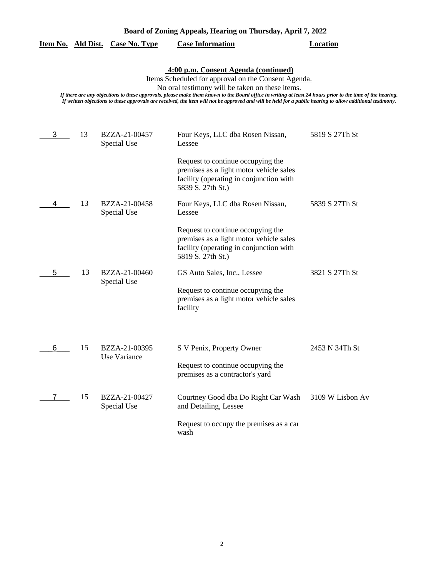| Board of Zoning Appeals, Hearing on Thursday, April 7, 2022 |  |  |  |
|-------------------------------------------------------------|--|--|--|
|                                                             |  |  |  |

|  |  | Item No. Ald Dist. Case No. Type | <b>Case Information</b> | Location |
|--|--|----------------------------------|-------------------------|----------|
|--|--|----------------------------------|-------------------------|----------|

**4:00 p.m. Consent Agenda (continued)**

Items Scheduled for approval on the Consent Agenda.

No oral testimony will be taken on these items.

*If there are any objections to these approvals, please make them known to the Board office in writing at least 24 hours prior to the time of the hearing. If written objections to these approvals are received, the item will not be approved and will be held for a public hearing to allow additional testimony.*

| 3 | 13 | BZZA-21-00457<br>Special Use  | Four Keys, LLC dba Rosen Nissan,<br>Lessee                                                                                                   | 5819 S 27Th St   |
|---|----|-------------------------------|----------------------------------------------------------------------------------------------------------------------------------------------|------------------|
|   |    |                               | Request to continue occupying the<br>premises as a light motor vehicle sales<br>facility (operating in conjunction with<br>5839 S. 27th St.) |                  |
| 4 | 13 | BZZA-21-00458<br>Special Use  | Four Keys, LLC dba Rosen Nissan,<br>Lessee                                                                                                   | 5839 S 27Th St   |
|   |    |                               | Request to continue occupying the<br>premises as a light motor vehicle sales<br>facility (operating in conjunction with<br>5819 S. 27th St.) |                  |
| 5 | 13 | BZZA-21-00460                 | GS Auto Sales, Inc., Lessee                                                                                                                  | 3821 S 27Th St   |
|   |    | Special Use                   | Request to continue occupying the<br>premises as a light motor vehicle sales<br>facility                                                     |                  |
|   |    |                               |                                                                                                                                              |                  |
| 6 | 15 | BZZA-21-00395<br>Use Variance | S V Penix, Property Owner                                                                                                                    | 2453 N 34Th St   |
|   |    |                               | Request to continue occupying the<br>premises as a contractor's yard                                                                         |                  |
|   | 15 | BZZA-21-00427<br>Special Use  | Courtney Good dba Do Right Car Wash<br>and Detailing, Lessee                                                                                 | 3109 W Lisbon Av |
|   |    |                               | Request to occupy the premises as a car<br>wash                                                                                              |                  |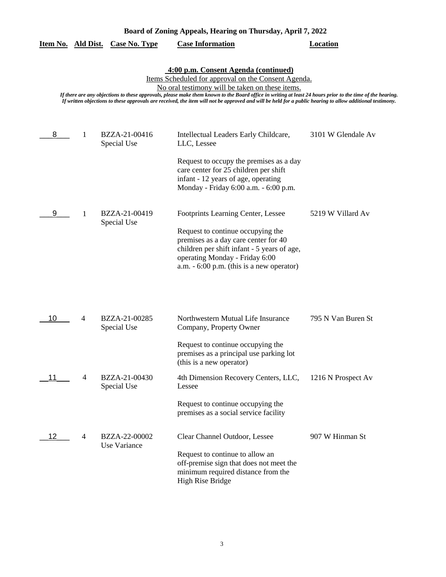| Board of Zoning Appeals, Hearing on Thursday, April 7, 2022 |  |  |  |  |  |  |  |
|-------------------------------------------------------------|--|--|--|--|--|--|--|
|                                                             |  |  |  |  |  |  |  |

|  | Item No. Ald Dist. Case No. Type | <b>Case Information</b> | <b>Location</b> |
|--|----------------------------------|-------------------------|-----------------|
|  |                                  |                         |                 |

#### **4:00 p.m. Consent Agenda (continued)**

Items Scheduled for approval on the Consent Agenda.

No oral testimony will be taken on these items.

*If there are any objections to these approvals, please make them known to the Board office in writing at least 24 hours prior to the time of the hearing. If written objections to these approvals are received, the item will not be approved and will be held for a public hearing to allow additional testimony.*

| 8  | 1 | BZZA-21-00416<br>Special Use  | Intellectual Leaders Early Childcare,<br>LLC, Lessee                                                                                                                                                                                            | 3101 W Glendale Av |
|----|---|-------------------------------|-------------------------------------------------------------------------------------------------------------------------------------------------------------------------------------------------------------------------------------------------|--------------------|
|    |   |                               | Request to occupy the premises as a day<br>care center for 25 children per shift<br>infant - 12 years of age, operating<br>Monday - Friday 6:00 a.m. - 6:00 p.m.                                                                                |                    |
| 9  | 1 | BZZA-21-00419<br>Special Use  | Footprints Learning Center, Lessee<br>Request to continue occupying the<br>premises as a day care center for 40<br>children per shift infant - 5 years of age,<br>operating Monday - Friday 6:00<br>$a.m. - 6:00$ p.m. (this is a new operator) | 5219 W Villard Av  |
| 10 | 4 | BZZA-21-00285<br>Special Use  | Northwestern Mutual Life Insurance<br>Company, Property Owner                                                                                                                                                                                   | 795 N Van Buren St |
|    |   |                               | Request to continue occupying the<br>premises as a principal use parking lot<br>(this is a new operator)                                                                                                                                        |                    |
| 11 | 4 | BZZA-21-00430<br>Special Use  | 4th Dimension Recovery Centers, LLC,<br>Lessee                                                                                                                                                                                                  | 1216 N Prospect Av |
|    |   |                               | Request to continue occupying the<br>premises as a social service facility                                                                                                                                                                      |                    |
| 12 | 4 | BZZA-22-00002<br>Use Variance | Clear Channel Outdoor, Lessee<br>Request to continue to allow an<br>off-premise sign that does not meet the<br>minimum required distance from the<br><b>High Rise Bridge</b>                                                                    | 907 W Hinman St    |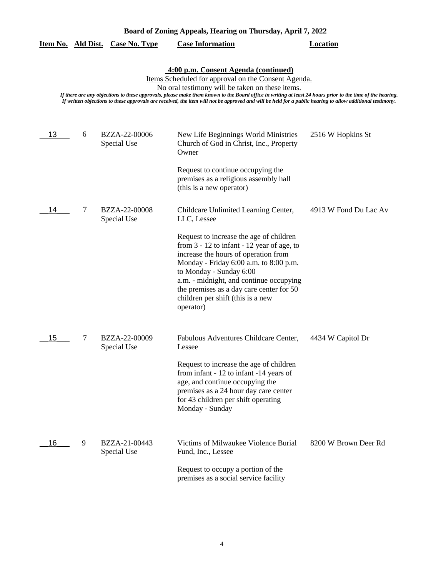| Board of Zoning Appeals, Hearing on Thursday, April 7, 2022 |  |  |  |
|-------------------------------------------------------------|--|--|--|
|                                                             |  |  |  |

|  | Item No. Ald Dist. Case No. Type | <b>Case Information</b> | <b>Location</b> |
|--|----------------------------------|-------------------------|-----------------|
|  |                                  |                         |                 |

**4:00 p.m. Consent Agenda (continued)**

Items Scheduled for approval on the Consent Agenda.

No oral testimony will be taken on these items.

*If there are any objections to these approvals, please make them known to the Board office in writing at least 24 hours prior to the time of the hearing. If written objections to these approvals are received, the item will not be approved and will be held for a public hearing to allow additional testimony.*

| 13 | 6 | BZZA-22-00006<br>Special Use | New Life Beginnings World Ministries<br>Church of God in Christ, Inc., Property<br>Owner<br>Request to continue occupying the<br>premises as a religious assembly hall<br>(this is a new operator)                                                                                                                                                                                                     | 2516 W Hopkins St     |
|----|---|------------------------------|--------------------------------------------------------------------------------------------------------------------------------------------------------------------------------------------------------------------------------------------------------------------------------------------------------------------------------------------------------------------------------------------------------|-----------------------|
| 14 | 7 | BZZA-22-00008<br>Special Use | Childcare Unlimited Learning Center,<br>LLC, Lessee<br>Request to increase the age of children<br>from $3 - 12$ to infant $- 12$ year of age, to<br>increase the hours of operation from<br>Monday - Friday 6:00 a.m. to 8:00 p.m.<br>to Monday - Sunday 6:00<br>a.m. - midnight, and continue occupying<br>the premises as a day care center for 50<br>children per shift (this is a new<br>operator) | 4913 W Fond Du Lac Av |
| 15 | 7 | BZZA-22-00009<br>Special Use | Fabulous Adventures Childcare Center,<br>Lessee<br>Request to increase the age of children<br>from infant - 12 to infant -14 years of<br>age, and continue occupying the<br>premises as a 24 hour day care center<br>for 43 children per shift operating<br>Monday - Sunday                                                                                                                            | 4434 W Capitol Dr     |
| 16 | 9 | BZZA-21-00443<br>Special Use | Victims of Milwaukee Violence Burial<br>Fund, Inc., Lessee<br>Request to occupy a portion of the<br>premises as a social service facility                                                                                                                                                                                                                                                              | 8200 W Brown Deer Rd  |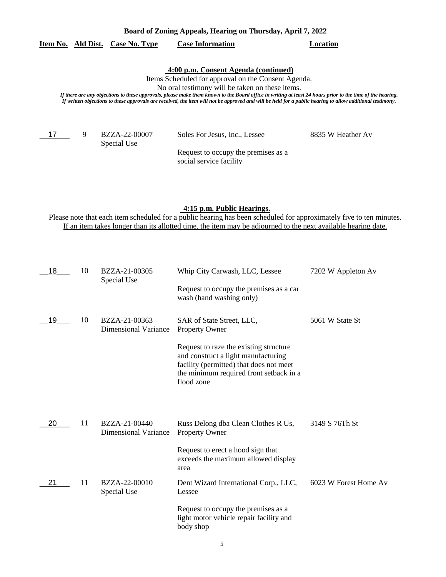# **Item No. Ald Dist. Case No. Type Case Information Location**

## **4:00 p.m. Consent Agenda (continued)**

Items Scheduled for approval on the Consent Agenda.

No oral testimony will be taken on these items.

*If there are any objections to these approvals, please make them known to the Board office in writing at least 24 hours prior to the time of the hearing. If written objections to these approvals are received, the item will not be approved and will be held for a public hearing to allow additional testimony.*

 $-17$  9

Special Use

BZZA-22-00007 Soles For Jesus, Inc., Lessee 8835 W Heather Av

Request to occupy the premises as a social service facility

#### **4:15 p.m. Public Hearings.**

Please note that each item scheduled for a public hearing has been scheduled for approximately five to ten minutes. If an item takes longer than its allotted time, the item may be adjourned to the next available hearing date.

| 18 | 10 | BZZA-21-00305<br>Special Use                 | Whip City Carwash, LLC, Lessee<br>Request to occupy the premises as a car<br>wash (hand washing only)                                                                                                                            | 7202 W Appleton Av    |
|----|----|----------------------------------------------|----------------------------------------------------------------------------------------------------------------------------------------------------------------------------------------------------------------------------------|-----------------------|
| 19 | 10 | BZZA-21-00363<br><b>Dimensional Variance</b> | SAR of State Street, LLC,<br>Property Owner<br>Request to raze the existing structure<br>and construct a light manufacturing<br>facility (permitted) that does not meet<br>the minimum required front setback in a<br>flood zone | 5061 W State St       |
| 20 | 11 | BZZA-21-00440<br><b>Dimensional Variance</b> | Russ Delong dba Clean Clothes R Us,<br>Property Owner                                                                                                                                                                            | 3149 S 76Th St        |
|    |    |                                              | Request to erect a hood sign that<br>exceeds the maximum allowed display<br>area                                                                                                                                                 |                       |
| 21 | 11 | BZZA-22-00010<br>Special Use                 | Dent Wizard International Corp., LLC,<br>Lessee                                                                                                                                                                                  | 6023 W Forest Home Av |
|    |    |                                              | Request to occupy the premises as a<br>light motor vehicle repair facility and<br>body shop                                                                                                                                      |                       |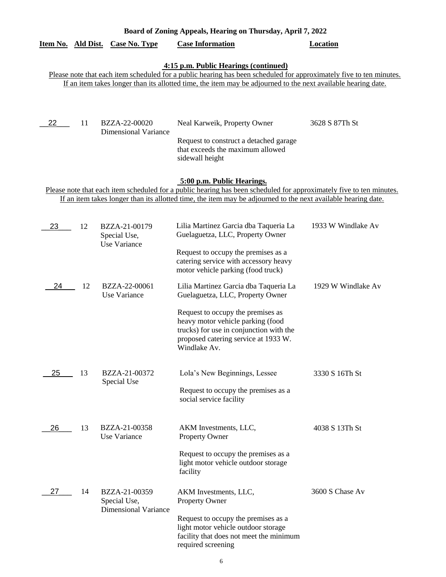| Board of Zoning Appeals, Hearing on Thursday, April 7, 2022 |                                                                                                                                                                                                                                                                               |                                                              |                                                                                                                                                                                                                                                                    |                    |  |  |  |  |  |  |
|-------------------------------------------------------------|-------------------------------------------------------------------------------------------------------------------------------------------------------------------------------------------------------------------------------------------------------------------------------|--------------------------------------------------------------|--------------------------------------------------------------------------------------------------------------------------------------------------------------------------------------------------------------------------------------------------------------------|--------------------|--|--|--|--|--|--|
| Item No. Ald Dist.                                          |                                                                                                                                                                                                                                                                               | <b>Case No. Type</b>                                         | <b>Case Information</b>                                                                                                                                                                                                                                            | <b>Location</b>    |  |  |  |  |  |  |
|                                                             | 4:15 p.m. Public Hearings (continued)<br>Please note that each item scheduled for a public hearing has been scheduled for approximately five to ten minutes.<br>If an item takes longer than its allotted time, the item may be adjourned to the next available hearing date. |                                                              |                                                                                                                                                                                                                                                                    |                    |  |  |  |  |  |  |
| 22                                                          | 11                                                                                                                                                                                                                                                                            | BZZA-22-00020<br><b>Dimensional Variance</b>                 | Neal Karweik, Property Owner<br>Request to construct a detached garage<br>that exceeds the maximum allowed<br>sidewall height                                                                                                                                      | 3628 S 87Th St     |  |  |  |  |  |  |
|                                                             |                                                                                                                                                                                                                                                                               |                                                              | 5:00 p.m. Public Hearings.<br>Please note that each item scheduled for a public hearing has been scheduled for approximately five to ten minutes.<br>If an item takes longer than its allotted time, the item may be adjourned to the next available hearing date. |                    |  |  |  |  |  |  |
| 23                                                          | 12                                                                                                                                                                                                                                                                            | BZZA-21-00179<br>Special Use,<br>Use Variance                | Lilia Martinez Garcia dba Taqueria La<br>Guelaguetza, LLC, Property Owner                                                                                                                                                                                          | 1933 W Windlake Av |  |  |  |  |  |  |
|                                                             |                                                                                                                                                                                                                                                                               |                                                              | Request to occupy the premises as a<br>catering service with accessory heavy<br>motor vehicle parking (food truck)                                                                                                                                                 |                    |  |  |  |  |  |  |
| 24                                                          | 12                                                                                                                                                                                                                                                                            | BZZA-22-00061<br>Use Variance                                | Lilia Martinez Garcia dba Taqueria La<br>Guelaguetza, LLC, Property Owner                                                                                                                                                                                          | 1929 W Windlake Av |  |  |  |  |  |  |
|                                                             |                                                                                                                                                                                                                                                                               |                                                              | Request to occupy the premises as<br>heavy motor vehicle parking (food<br>trucks) for use in conjunction with the<br>proposed catering service at 1933 W.<br>Windlake Av.                                                                                          |                    |  |  |  |  |  |  |
| 25                                                          | 13                                                                                                                                                                                                                                                                            | BZZA-21-00372<br>Special Use                                 | Lola's New Beginnings, Lessee                                                                                                                                                                                                                                      | 3330 S 16Th St     |  |  |  |  |  |  |
|                                                             |                                                                                                                                                                                                                                                                               |                                                              | Request to occupy the premises as a<br>social service facility                                                                                                                                                                                                     |                    |  |  |  |  |  |  |
| 26                                                          | 13                                                                                                                                                                                                                                                                            | BZZA-21-00358<br>Use Variance                                | AKM Investments, LLC,<br>Property Owner                                                                                                                                                                                                                            | 4038 S 13Th St     |  |  |  |  |  |  |
|                                                             |                                                                                                                                                                                                                                                                               |                                                              | Request to occupy the premises as a<br>light motor vehicle outdoor storage<br>facility                                                                                                                                                                             |                    |  |  |  |  |  |  |
| 27                                                          | 14                                                                                                                                                                                                                                                                            | BZZA-21-00359<br>Special Use,<br><b>Dimensional Variance</b> | AKM Investments, LLC,<br><b>Property Owner</b>                                                                                                                                                                                                                     | 3600 S Chase Av    |  |  |  |  |  |  |
|                                                             |                                                                                                                                                                                                                                                                               |                                                              | Request to occupy the premises as a<br>light motor vehicle outdoor storage<br>facility that does not meet the minimum<br>required screening                                                                                                                        |                    |  |  |  |  |  |  |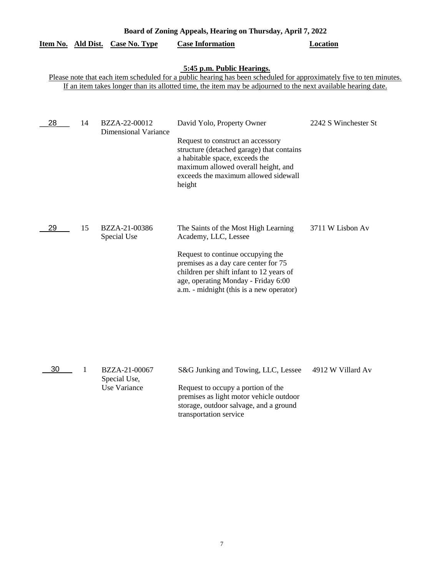| Board of Zoning Appeals, Hearing on Thursday, April 7, 2022                                                                                                                                                                                                        |    |                                                      |                                                                                                                                                                                                                                                                          |                      |  |  |
|--------------------------------------------------------------------------------------------------------------------------------------------------------------------------------------------------------------------------------------------------------------------|----|------------------------------------------------------|--------------------------------------------------------------------------------------------------------------------------------------------------------------------------------------------------------------------------------------------------------------------------|----------------------|--|--|
|                                                                                                                                                                                                                                                                    |    | Item No. Ald Dist. Case No. Type                     | <b>Case Information</b>                                                                                                                                                                                                                                                  | <b>Location</b>      |  |  |
| 5:45 p.m. Public Hearings.<br>Please note that each item scheduled for a public hearing has been scheduled for approximately five to ten minutes.<br>If an item takes longer than its allotted time, the item may be adjourned to the next available hearing date. |    |                                                      |                                                                                                                                                                                                                                                                          |                      |  |  |
| 28                                                                                                                                                                                                                                                                 | 14 | BZZA-22-00012<br><b>Dimensional Variance</b>         | David Yolo, Property Owner<br>Request to construct an accessory<br>structure (detached garage) that contains<br>a habitable space, exceeds the<br>maximum allowed overall height, and<br>exceeds the maximum allowed sidewall<br>height                                  | 2242 S Winchester St |  |  |
| 29                                                                                                                                                                                                                                                                 | 15 | BZZA-21-00386<br>Special Use                         | The Saints of the Most High Learning<br>Academy, LLC, Lessee<br>Request to continue occupying the<br>premises as a day care center for 75<br>children per shift infant to 12 years of<br>age, operating Monday - Friday 6:00<br>a.m. - midnight (this is a new operator) | 3711 W Lisbon Av     |  |  |
| 30                                                                                                                                                                                                                                                                 | 1  | BZZA-21-00067<br>Special Use,<br><b>Use Variance</b> | S&G Junking and Towing, LLC, Lessee<br>Request to occupy a portion of the<br>premises as light motor vehicle outdoor<br>storage, outdoor salvage, and a ground<br>transportation service                                                                                 | 4912 W Villard Av    |  |  |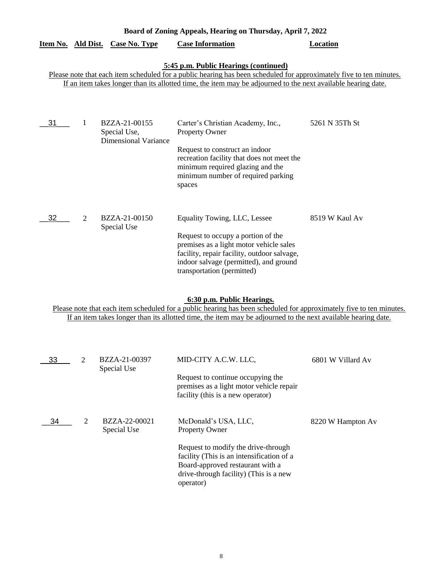|                                                                                                                                                                                                                                                                               |                | Item No. Ald Dist. Case No. Type                             | <b>Case Information</b>                                                                                                                                                                                                              | Location       |  |  |  |
|-------------------------------------------------------------------------------------------------------------------------------------------------------------------------------------------------------------------------------------------------------------------------------|----------------|--------------------------------------------------------------|--------------------------------------------------------------------------------------------------------------------------------------------------------------------------------------------------------------------------------------|----------------|--|--|--|
| 5:45 p.m. Public Hearings (continued)<br>Please note that each item scheduled for a public hearing has been scheduled for approximately five to ten minutes.<br>If an item takes longer than its allotted time, the item may be adjourned to the next available hearing date. |                |                                                              |                                                                                                                                                                                                                                      |                |  |  |  |
| 31                                                                                                                                                                                                                                                                            | 1              | BZZA-21-00155<br>Special Use,<br><b>Dimensional Variance</b> | Carter's Christian Academy, Inc.,<br><b>Property Owner</b><br>Request to construct an indoor<br>recreation facility that does not meet the<br>minimum required glazing and the<br>minimum number of required parking<br>spaces       | 5261 N 35Th St |  |  |  |
| 32                                                                                                                                                                                                                                                                            | $\overline{2}$ | BZZA-21-00150<br>Special Use                                 | Equality Towing, LLC, Lessee<br>Request to occupy a portion of the<br>premises as a light motor vehicle sales<br>facility, repair facility, outdoor salvage,<br>indoor salvage (permitted), and ground<br>transportation (permitted) | 8519 W Kaul Av |  |  |  |

**Board of Zoning Appeals, Hearing on Thursday, April 7, 2022** 

# **6:30 p.m. Public Hearings.**

Please note that each item scheduled for a public hearing has been scheduled for approximately five to ten minutes. If an item takes longer than its allotted time, the item may be adjourned to the next available hearing date.

| 33 | っ | BZZA-21-00397<br>Special Use | MID-CITY A.C.W. LLC,                                                                                                                                                        | 6801 W Villard Av |
|----|---|------------------------------|-----------------------------------------------------------------------------------------------------------------------------------------------------------------------------|-------------------|
|    |   |                              | Request to continue occupying the<br>premises as a light motor vehicle repair<br>facility (this is a new operator)                                                          |                   |
| 34 | 2 | BZZA-22-00021<br>Special Use | McDonald's USA, LLC,<br><b>Property Owner</b>                                                                                                                               | 8220 W Hampton Av |
|    |   |                              | Request to modify the drive-through<br>facility (This is an intensification of a<br>Board-approved restaurant with a<br>drive-through facility) (This is a new<br>operator) |                   |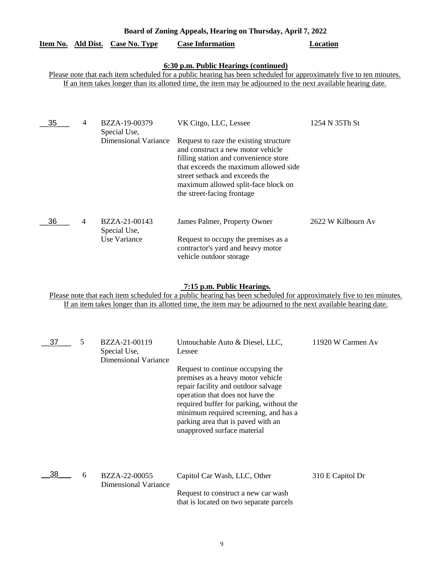| 6:30 p.m. Public Hearings (continued)<br>Please note that each item scheduled for a public hearing has been scheduled for approximately five to ten minute<br>If an item takes longer than its allotted time, the item may be adjourned to the next available hearing date. |                |                                                              |                                                                                                                                                                                                                                                                                               |                    |  |  |
|-----------------------------------------------------------------------------------------------------------------------------------------------------------------------------------------------------------------------------------------------------------------------------|----------------|--------------------------------------------------------------|-----------------------------------------------------------------------------------------------------------------------------------------------------------------------------------------------------------------------------------------------------------------------------------------------|--------------------|--|--|
| 35                                                                                                                                                                                                                                                                          | 4              | BZZA-19-00379<br>Special Use,<br><b>Dimensional Variance</b> | VK Citgo, LLC, Lessee<br>Request to raze the existing structure<br>and construct a new motor vehicle<br>filling station and convenience store<br>that exceeds the maximum allowed side<br>street setback and exceeds the<br>maximum allowed split-face block on<br>the street-facing frontage | 1254 N 35Th St     |  |  |
| 36                                                                                                                                                                                                                                                                          | $\overline{4}$ | BZZA-21-00143<br>Special Use,<br>Use Variance                | James Palmer, Property Owner<br>Request to occupy the premises as a<br>contractor's yard and heavy motor                                                                                                                                                                                      | 2622 W Kilbourn Av |  |  |

# **Board of Zoning Appeals, Hearing on Thursday, April 7, 2022**

**Item No. Ald Dist. Case No. Type Case Information Location**

# **7:15 p.m. Public Hearings.**

vehicle outdoor storage

Please note that each item scheduled for a public hearing has been scheduled for approximately five to ten minutes. If an item takes longer than its allotted time, the item may be adjourned to the next available hearing date.

| 37 | 5 | BZZA-21-00119<br>Special Use,<br>Dimensional Variance | Untouchable Auto & Diesel, LLC,<br>Lessee                                                                                                                                                                                                                                                                   | 11920 W Carmen Av |
|----|---|-------------------------------------------------------|-------------------------------------------------------------------------------------------------------------------------------------------------------------------------------------------------------------------------------------------------------------------------------------------------------------|-------------------|
|    |   |                                                       | Request to continue occupying the<br>premises as a heavy motor vehicle<br>repair facility and outdoor salvage<br>operation that does not have the<br>required buffer for parking, without the<br>minimum required screening, and has a<br>parking area that is paved with an<br>unapproved surface material |                   |
| 38 | 6 | BZZA-22-00055<br>Dimensional Variance                 | Capitol Car Wash, LLC, Other<br>Request to construct a new car wash<br>that is located on two separate parcels                                                                                                                                                                                              | 310 E Capitol Dr  |